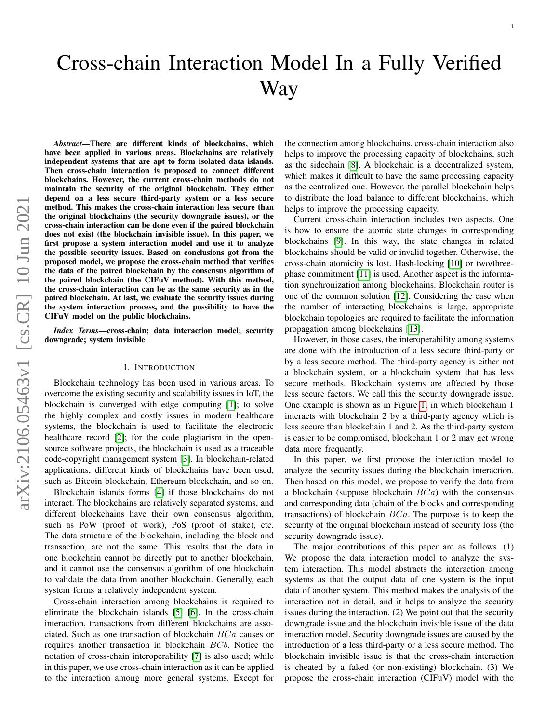# Cross-chain Interaction Model In a Fully Verified Way

*Abstract*—There are different kinds of blockchains, which have been applied in various areas. Blockchains are relatively independent systems that are apt to form isolated data islands. Then cross-chain interaction is proposed to connect different blockchains. However, the current cross-chain methods do not maintain the security of the original blockchain. They either depend on a less secure third-party system or a less secure method. This makes the cross-chain interaction less secure than the original blockchains (the security downgrade issues), or the cross-chain interaction can be done even if the paired blockchain does not exist (the blockchain invisible issue). In this paper, we first propose a system interaction model and use it to analyze the possible security issues. Based on conclusions got from the proposed model, we propose the cross-chain method that verifies the data of the paired blockchain by the consensus algorithm of the paired blockchain (the CIFuV method). With this method, the cross-chain interaction can be as the same security as in the paired blockchain. At last, we evaluate the security issues during the system interaction process, and the possibility to have the CIFuV model on the public blockchains.

*Index Terms*—cross-chain; data interaction model; security downgrade; system invisible

### I. INTRODUCTION

Blockchain technology has been used in various areas. To overcome the existing security and scalability issues in IoT, the blockchain is converged with edge computing [\[1\]](#page-10-0); to solve the highly complex and costly issues in modern healthcare systems, the blockchain is used to facilitate the electronic healthcare record [\[2\]](#page-10-1); for the code plagiarism in the opensource software projects, the blockchain is used as a traceable code-copyright management system [\[3\]](#page-10-2). In blockchain-related applications, different kinds of blockchains have been used, such as Bitcoin blockchain, Ethereum blockchain, and so on.

Blockchain islands forms [\[4\]](#page-10-3) if those blockchains do not interact. The blockchains are relatively separated systems, and different blockchains have their own consensus algorithm, such as PoW (proof of work), PoS (proof of stake), etc. The data structure of the blockchain, including the block and transaction, are not the same. This results that the data in one blockchain cannot be directly put to another blockchain, and it cannot use the consensus algorithm of one blockchain to validate the data from another blockchain. Generally, each system forms a relatively independent system.

Cross-chain interaction among blockchains is required to eliminate the blockchain islands [\[5\]](#page-10-4) [\[6\]](#page-10-5). In the cross-chain interaction, transactions from different blockchains are associated. Such as one transaction of blockchain BCa causes or requires another transaction in blockchain BCb. Notice the notation of cross-chain interoperability [\[7\]](#page-10-6) is also used; while in this paper, we use cross-chain interaction as it can be applied to the interaction among more general systems. Except for

the connection among blockchains, cross-chain interaction also helps to improve the processing capacity of blockchains, such as the sidechain [\[8\]](#page-10-7). A blockchain is a decentralized system, which makes it difficult to have the same processing capacity as the centralized one. However, the parallel blockchain helps to distribute the load balance to different blockchains, which helps to improve the processing capacity.

1

Current cross-chain interaction includes two aspects. One is how to ensure the atomic state changes in corresponding blockchains [\[9\]](#page-10-8). In this way, the state changes in related blockchains should be valid or invalid together. Otherwise, the cross-chain atomicity is lost. Hash-locking [\[10\]](#page-10-9) or two/threephase commitment [\[11\]](#page-10-10) is used. Another aspect is the information synchronization among blockchains. Blockchain router is one of the common solution [\[12\]](#page-10-11). Considering the case when the number of interacting blockchains is large, appropriate blockchain topologies are required to facilitate the information propagation among blockchains [\[13\]](#page-10-12).

However, in those cases, the interoperability among systems are done with the introduction of a less secure third-party or by a less secure method. The third-party agency is either not a blockchain system, or a blockchain system that has less secure methods. Blockchain systems are affected by those less secure factors. We call this the security downgrade issue. One example is shown as in Figure [1,](#page-1-0) in which blockchain 1 interacts with blockchain 2 by a third-party agency which is less secure than blockchain 1 and 2. As the third-party system is easier to be compromised, blockchain 1 or 2 may get wrong data more frequently.

In this paper, we first propose the interaction model to analyze the security issues during the blockchain interaction. Then based on this model, we propose to verify the data from a blockchain (suppose blockchain  $BCa$ ) with the consensus and corresponding data (chain of the blocks and corresponding transactions) of blockchain  $BCa$ . The purpose is to keep the security of the original blockchain instead of security loss (the security downgrade issue).

The major contributions of this paper are as follows. (1) We propose the data interaction model to analyze the system interaction. This model abstracts the interaction among systems as that the output data of one system is the input data of another system. This method makes the analysis of the interaction not in detail, and it helps to analyze the security issues during the interaction. (2) We point out that the security downgrade issue and the blockchain invisible issue of the data interaction model. Security downgrade issues are caused by the introduction of a less third-party or a less secure method. The blockchain invisible issue is that the cross-chain interaction is cheated by a faked (or non-existing) blockchain. (3) We propose the cross-chain interaction (CIFuV) model with the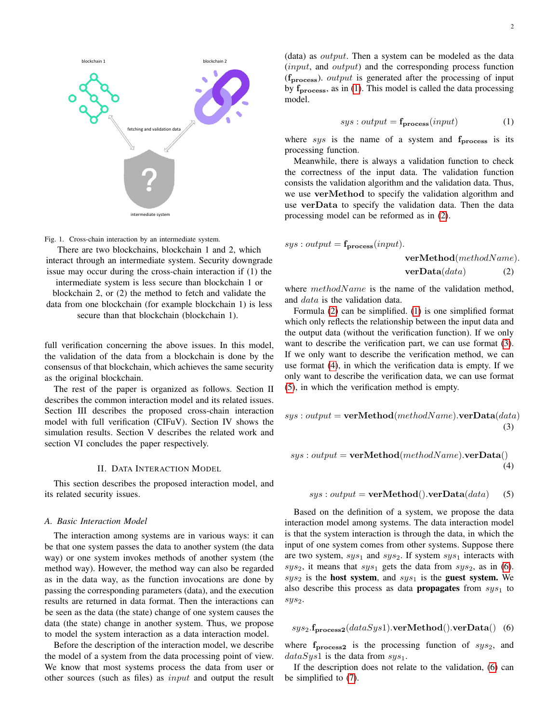

<span id="page-1-0"></span>Fig. 1. Cross-chain interaction by an intermediate system.

There are two blockchains, blockchain 1 and 2, which interact through an intermediate system. Security downgrade issue may occur during the cross-chain interaction if (1) the

intermediate system is less secure than blockchain 1 or blockchain 2, or (2) the method to fetch and validate the data from one blockchain (for example blockchain 1) is less secure than that blockchain (blockchain 1).

full verification concerning the above issues. In this model, the validation of the data from a blockchain is done by the consensus of that blockchain, which achieves the same security as the original blockchain.

The rest of the paper is organized as follows. Section II describes the common interaction model and its related issues. Section III describes the proposed cross-chain interaction model with full verification (CIFuV). Section IV shows the simulation results. Section V describes the related work and section VI concludes the paper respectively.

#### II. DATA INTERACTION MODEL

This section describes the proposed interaction model, and its related security issues.

#### *A. Basic Interaction Model*

The interaction among systems are in various ways: it can be that one system passes the data to another system (the data way) or one system invokes methods of another system (the method way). However, the method way can also be regarded as in the data way, as the function invocations are done by passing the corresponding parameters (data), and the execution results are returned in data format. Then the interactions can be seen as the data (the state) change of one system causes the data (the state) change in another system. Thus, we propose to model the system interaction as a data interaction model.

Before the description of the interaction model, we describe the model of a system from the data processing point of view. We know that most systems process the data from user or other sources (such as files) as input and output the result

<span id="page-1-2"></span><span id="page-1-1"></span>
$$
sys : output = f_{process}(input)
$$
 (1)

where sys is the name of a system and  $f_{\text{process}}$  is its processing function.

Meanwhile, there is always a validation function to check the correctness of the input data. The validation function consists the validation algorithm and the validation data. Thus, we use verMethod to specify the validation algorithm and use verData to specify the validation data. Then the data processing model can be reformed as in [\(2\)](#page-1-2).

$$
sys: output = f_{process}(input).
$$
  

$$
verMethod(methodName).
$$
  

$$
verData(data)
$$
 (2)

where  $methodName$  is the name of the validation method, and data is the validation data.

Formula [\(2\)](#page-1-2) can be simplified. [\(1\)](#page-1-1) is one simplified format which only reflects the relationship between the input data and the output data (without the verification function). If we only want to describe the verification part, we can use format [\(3\)](#page-1-3). If we only want to describe the verification method, we can use format [\(4\)](#page-1-4), in which the verification data is empty. If we only want to describe the verification data, we can use format [\(5\)](#page-1-5), in which the verification method is empty.

<span id="page-1-3"></span>
$$
sys: output = \mathbf{verMethod}(methodName).\mathbf{verData}(data)
$$
  
(3)

<span id="page-1-4"></span>
$$
sys: output = \textbf{verMethod}(methodName).\textbf{verData}()\\(4)
$$

# <span id="page-1-5"></span> $sys: output = verMethod().verData(data)$  (5)

Based on the definition of a system, we propose the data interaction model among systems. The data interaction model is that the system interaction is through the data, in which the input of one system comes from other systems. Suppose there are two system,  $sys_1$  and  $sys_2$ . If system  $sys_1$  interacts with  $sys_2$ , it means that  $sys_1$  gets the data from  $sys_2$ , as in [\(6\)](#page-1-6).  $sys_2$  is the host system, and  $sys_1$  is the guest system. We also describe this process as data **propagates** from  $sys<sub>1</sub>$  to sys2.

<span id="page-1-6"></span>
$$
sys_2.\mathbf{f}_{\mathbf{process2}}(dataSys1).\mathbf{verMethod}().verData()
$$
 (6)

where  $f_{\text{process2}}$  is the processing function of  $sys_2$ , and  $dataSys1$  is the data from  $sys_1$ .

If the description does not relate to the validation, [\(6\)](#page-1-6) can be simplified to [\(7\)](#page-2-0).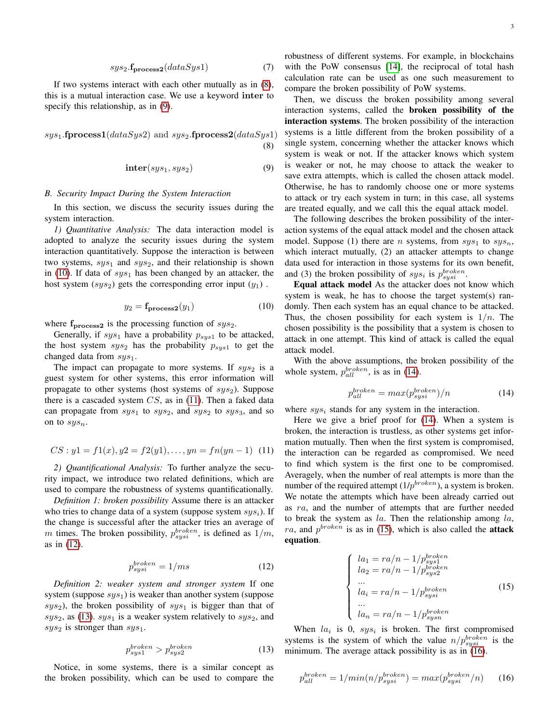<span id="page-2-0"></span>
$$
sys_2.\mathbf{f}_{\mathbf{process2}}(dataSys1) \tag{7}
$$

If two systems interact with each other mutually as in [\(8\)](#page-2-1), this is a mutual interaction case. We use a keyword inter to specify this relationship, as in [\(9\)](#page-2-2).

<span id="page-2-1"></span> $sys_1$ .fprocess1( $dataSys2$ ) and  $sys_2$ .fprocess2( $dataSys1$ ) (8)

<span id="page-2-2"></span>
$$
inter(sys_1, sys_2) \tag{9}
$$

#### *B. Security Impact During the System Interaction*

In this section, we discuss the security issues during the system interaction.

*1) Quantitative Analysis:* The data interaction model is adopted to analyze the security issues during the system interaction quantitatively. Suppose the interaction is between two systems,  $sys_1$  and  $sys_2$ , and their relationship is shown in [\(10\)](#page-2-3). If data of  $sys_1$  has been changed by an attacker, the host system  $(sys_2)$  gets the corresponding error input  $(y_1)$ .

<span id="page-2-3"></span>
$$
y_2 = \mathbf{f_{process2}}(y_1) \tag{10}
$$

where  $f_{\text{process2}}$  is the processing function of  $sys_2$ .

Generally, if  $sys_1$  have a probability  $p_{sys1}$  to be attacked, the host system  $sys_2$  has the probability  $p_{sys1}$  to get the changed data from  $sys<sub>1</sub>$ .

The impact can propagate to more systems. If  $sys_2$  is a guest system for other systems, this error information will propagate to other systems (host systems of  $sys_2$ ). Suppose there is a cascaded system  $CS$ , as in [\(11\)](#page-2-4). Then a faked data can propagate from  $sys_1$  to  $sys_2$ , and  $sys_3$ , and so on to  $sys_n$ .

<span id="page-2-4"></span>
$$
CS: y1 = f1(x), y2 = f2(y1), \dots, yn = fn(yn - 1) \tag{11}
$$

*2) Quantificational Analysis:* To further analyze the security impact, we introduce two related definitions, which are used to compare the robustness of systems quantificationally.

*Definition 1: broken possibility* Assume there is an attacker who tries to change data of a system (suppose system  $sys_i$ ). If the change is successful after the attacker tries an average of m times. The broken possibility,  $p_{sysi}^{broken}$ , is defined as  $1/m$ , as in [\(12\)](#page-2-5).

<span id="page-2-5"></span>
$$
p_{sysi}^{broken} = 1/ms \tag{12}
$$

*Definition 2: weaker system and stronger system* If one system (suppose  $sys_1$ ) is weaker than another system (suppose  $sys_2$ ), the broken possibility of  $sys_1$  is bigger than that of  $sys_2$ , as [\(13\)](#page-2-6).  $sys_1$  is a weaker system relatively to  $sys_2$ , and  $sys_2$  is stronger than  $sys_1$ .

<span id="page-2-6"></span>
$$
p_{sys1}^{broken} > p_{sys2}^{broken}
$$
 (13)

Notice, in some systems, there is a similar concept as the broken possibility, which can be used to compare the robustness of different systems. For example, in blockchains with the PoW consensus [\[14\]](#page-10-13), the reciprocal of total hash calculation rate can be used as one such measurement to compare the broken possibility of PoW systems.

Then, we discuss the broken possibility among several interaction systems, called the broken possibility of the interaction systems. The broken possibility of the interaction systems is a little different from the broken possibility of a single system, concerning whether the attacker knows which system is weak or not. If the attacker knows which system is weaker or not, he may choose to attack the weaker to save extra attempts, which is called the chosen attack model. Otherwise, he has to randomly choose one or more systems to attack or try each system in turn; in this case, all systems are treated equally, and we call this the equal attack model.

The following describes the broken possibility of the interaction systems of the equal attack model and the chosen attack model. Suppose (1) there are *n* systems, from  $sys_1$  to  $sys_n$ , which interact mutually, (2) an attacker attempts to change data used for interaction in those systems for its own benefit, and (3) the broken possibility of  $sys_i$  is  $p_{sysi}^{broken}$ .

Equal attack model As the attacker does not know which system is weak, he has to choose the target system(s) randomly. Then each system has an equal chance to be attacked. Thus, the chosen possibility for each system is  $1/n$ . The chosen possibility is the possibility that a system is chosen to attack in one attempt. This kind of attack is called the equal attack model.

With the above assumptions, the broken possibility of the whole system,  $p_{all}^{broken}$ , is as in [\(14\)](#page-2-7).

<span id="page-2-7"></span>
$$
p_{all}^{broken} = max(p_{sysi}^{broken})/n
$$
 (14)

where  $sys_i$  stands for any system in the interaction.

Here we give a brief proof for [\(14\)](#page-2-7). When a system is broken, the interaction is trustless, as other systems get information mutually. Then when the first system is compromised, the interaction can be regarded as compromised. We need to find which system is the first one to be compromised. Averagely, when the number of real attempts is more than the number of the required attempt  $(1/p^{broken})$ , a system is broken. We notate the attempts which have been already carried out as ra, and the number of attempts that are further needed to break the system as  $la$ . Then the relationship among  $la$ , ra, and  $p^{broken}$  is as in [\(15\)](#page-2-8), which is also called the **attack** equation.

<span id="page-2-8"></span>
$$
\begin{cases}\nla_1 = ra/n - 1/p_{sys1}^{broken} \\
la_2 = ra/n - 1/p_{sys2}^{broken} \\
\vdots \\
la_i = ra/n - 1/p_{sysi}^{broken}\n\end{cases} \tag{15}
$$
\n
$$
\begin{cases}\nI_m = ra/n - 1/p_{sys1}^{broken}\n\end{cases}
$$

When  $la_i$  is 0,  $sys_i$  is broken. The first compromised systems is the system of which the value  $n/p_{sysi}^{broken}$  is the minimum. The average attack possibility is as in [\(16\)](#page-2-9).

<span id="page-2-9"></span>
$$
p_{all}^{broken} = 1/min(n/p_{sysi}^{broken}) = max(p_{sysi}^{broken}/n)
$$
 (16)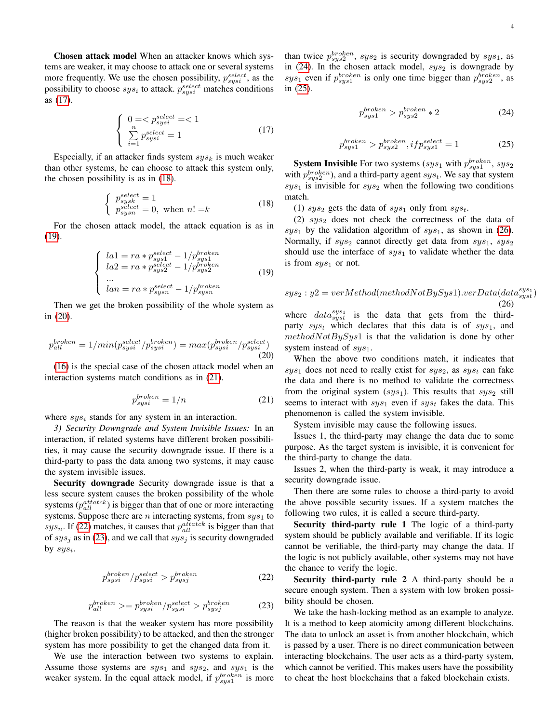Chosen attack model When an attacker knows which systems are weaker, it may choose to attack one or several systems more frequently. We use the chosen possibility,  $p_{syst}^{select}$ , as the possibility to choose  $sys_i$  to attack.  $p_{sysi}^{select}$  matches conditions as [\(17\)](#page-3-0).

<span id="page-3-0"></span>
$$
\begin{cases}\n0 = < p_{syst}^{select} = < 1 \\
\sum_{i=1}^{n} p_{syst}^{select} = 1\n\end{cases}
$$
\n(17)

Especially, if an attacker finds system  $sys<sub>k</sub>$  is much weaker than other systems, he can choose to attack this system only, the chosen possibility is as in [\(18\)](#page-3-1).

<span id="page-3-1"></span>
$$
\begin{cases}\n p_{sysk}^{select} = 1\\ \n p_{sysn}^{select} = 0, \text{ when } n! = k\n\end{cases} \tag{18}
$$

For the chosen attack model, the attack equation is as in [\(19\)](#page-3-2).

<span id="page-3-2"></span>
$$
\begin{cases}\n\ln 1 = ra * p_{syst}^{select} - 1/p_{syst}^{broken} \\
\ln 2 = ra * p_{syst}^{select} - 1/p_{syst}^{broken} \\
\dots \\
\ln n = ra * p_{syst}^{select} - 1/p_{syst}^{broken}\n\end{cases} (19)
$$

Then we get the broken possibility of the whole system as in [\(20\)](#page-3-3).

<span id="page-3-3"></span>
$$
p_{all}^{broken} = 1/min(p_{sysi}^{select}/p_{sysi}^{broken}) = max(p_{sysi}^{broken}/p_{sysi}^{select})
$$
\n(20)

[\(16\)](#page-2-9) is the special case of the chosen attack model when an interaction systems match conditions as in [\(21\)](#page-3-4).

<span id="page-3-4"></span>
$$
p_{sysi}^{broken} = 1/n \tag{21}
$$

where  $sys_i$  stands for any system in an interaction.

*3) Security Downgrade and System Invisible Issues:* In an interaction, if related systems have different broken possibilities, it may cause the security downgrade issue. If there is a third-party to pass the data among two systems, it may cause the system invisible issues.

Security downgrade Security downgrade issue is that a less secure system causes the broken possibility of the whole systems ( $p_{all}^{attatek}$ ) is bigger than that of one or more interacting systems. Suppose there are  $n$  interacting systems, from  $sys_1$  to sys<sub>n</sub>. If [\(22\)](#page-3-5) matches, it causes that  $p_{all}^{attatek}$  is bigger than that of  $sys<sub>j</sub>$  as in [\(23\)](#page-3-6), and we call that  $sys<sub>j</sub>$  is security downgraded by  $sys_i$ .

<span id="page-3-5"></span>
$$
p_{sysi}^{broken}/p_{sysi}^{select} > p_{sysj}^{broken}
$$
 (22)

<span id="page-3-6"></span>
$$
p_{all}^{broken} \rangle = p_{sysi}^{broken} / p_{sysi}^{select} > p_{sysj}^{broken} \tag{23}
$$

The reason is that the weaker system has more possibility (higher broken possibility) to be attacked, and then the stronger system has more possibility to get the changed data from it.

We use the interaction between two systems to explain. Assume those systems are  $sys_1$  and  $sys_2$ , and  $sys_1$  is the weaker system. In the equal attack model, if  $p_{sys1}^{broken}$  is more

than twice  $p_{sys2}^{broken}$ ,  $sys_2$  is security downgraded by  $sys_1$ , as in [\(24\)](#page-3-7). In the chosen attack model,  $sys_2$  is downgrade by sys<sub>1</sub> even if  $p_{sys1}^{broken}$  is only one time bigger than  $p_{sys2}^{broken}$ , as in [\(25\)](#page-3-8).

<span id="page-3-7"></span>
$$
p_{sys1}^{broken} > p_{sys2}^{broken} * 2
$$
 (24)

<span id="page-3-8"></span>
$$
p_{sys1}^{broken} > p_{sys2}^{broken}, if p_{sys1}^{select} = 1
$$
\n(25)

**System Invisible** For two systems ( $sys_1$  with  $p_{sys1}^{broken}$ ,  $sys_2$ with  $p_{sys2}^{broken}$ ), and a third-party agent  $sys_t$ . We say that system  $sys<sub>1</sub>$  is invisible for  $sys<sub>2</sub>$  when the following two conditions match.

(1)  $sys_2$  gets the data of  $sys_1$  only from  $sys_t$ .

(2)  $sys<sub>2</sub>$  does not check the correctness of the data of  $sys<sub>1</sub>$  by the validation algorithm of  $sys<sub>1</sub>$ , as shown in [\(26\)](#page-3-9). Normally, if  $sys_2$  cannot directly get data from  $sys_1$ ,  $sys_2$ should use the interface of  $sys_1$  to validate whether the data is from  $sys_1$  or not.

<span id="page-3-9"></span>
$$
sys_2: y2 = verMethod(methodNotBySys1).verData(data^{sys}_{syst})
$$
  
(26)

where  $data_{syst}^{sys_1}$  is the data that gets from the thirdparty  $sys_t$  which declares that this data is of  $sys_1$ , and  $methodNotBySys1$  is that the validation is done by other system instead of  $sys_1$ .

When the above two conditions match, it indicates that  $sys_1$  does not need to really exist for  $sys_2$ , as  $sys_t$  can fake the data and there is no method to validate the correctness from the original system  $(sys_1)$ . This results that  $sys_2$  still seems to interact with  $sys_1$  even if  $sys_t$  fakes the data. This phenomenon is called the system invisible.

System invisible may cause the following issues.

Issues 1, the third-party may change the data due to some purpose. As the target system is invisible, it is convenient for the third-party to change the data.

Issues 2, when the third-party is weak, it may introduce a security downgrade issue.

Then there are some rules to choose a third-party to avoid the above possible security issues. If a system matches the following two rules, it is called a secure third-party.

Security third-party rule 1 The logic of a third-party system should be publicly available and verifiable. If its logic cannot be verifiable, the third-party may change the data. If the logic is not publicly available, other systems may not have the chance to verify the logic.

Security third-party rule 2 A third-party should be a secure enough system. Then a system with low broken possibility should be chosen.

We take the hash-locking method as an example to analyze. It is a method to keep atomicity among different blockchains. The data to unlock an asset is from another blockchain, which is passed by a user. There is no direct communication between interacting blockchains. The user acts as a third-party system, which cannot be verified. This makes users have the possibility to cheat the host blockchains that a faked blockchain exists.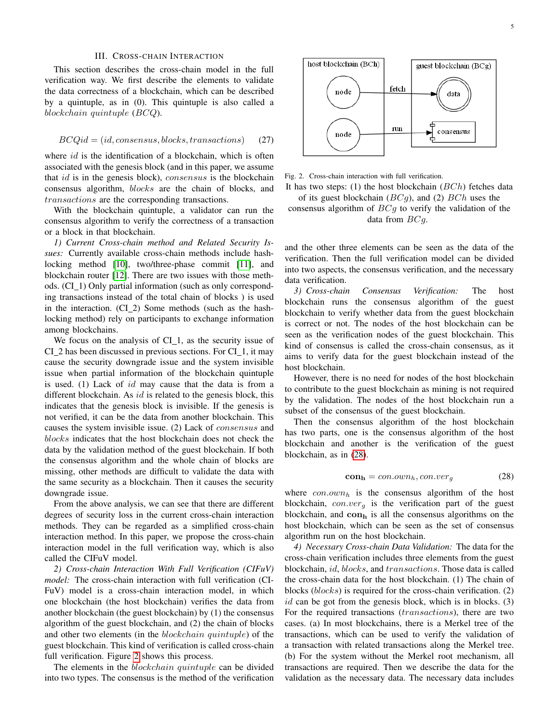## III. CROSS-CHAIN INTERACTION

This section describes the cross-chain model in the full verification way. We first describe the elements to validate the data correctness of a blockchain, which can be described by a quintuple, as in (0). This quintuple is also called a blockchain quintuple (BCQ).

$$
BCQid = (id, consensus, blocks, transactions) \tag{27}
$$

where  $id$  is the identification of a blockchain, which is often associated with the genesis block (and in this paper, we assume that *id* is in the genesis block), *consensus* is the blockchain consensus algorithm, blocks are the chain of blocks, and transactions are the corresponding transactions.

With the blockchain quintuple, a validator can run the consensus algorithm to verify the correctness of a transaction or a block in that blockchain.

*1) Current Cross-chain method and Related Security Issues:* Currently available cross-chain methods include hashlocking method [\[10\]](#page-10-9), two/three-phase commit [\[11\]](#page-10-10), and blockchain router [\[12\]](#page-10-11). There are two issues with those methods. (CI\_1) Only partial information (such as only corresponding transactions instead of the total chain of blocks ) is used in the interaction. (CI 2) Some methods (such as the hashlocking method) rely on participants to exchange information among blockchains.

We focus on the analysis of  $CI_1$ , as the security issue of  $CI_2$  has been discussed in previous sections. For  $CI_1$ , it may cause the security downgrade issue and the system invisible issue when partial information of the blockchain quintuple is used. (1) Lack of id may cause that the data is from a different blockchain. As  $id$  is related to the genesis block, this indicates that the genesis block is invisible. If the genesis is not verified, it can be the data from another blockchain. This causes the system invisible issue. (2) Lack of consensus and blocks indicates that the host blockchain does not check the data by the validation method of the guest blockchain. If both the consensus algorithm and the whole chain of blocks are missing, other methods are difficult to validate the data with the same security as a blockchain. Then it causes the security downgrade issue.

From the above analysis, we can see that there are different degrees of security loss in the current cross-chain interaction methods. They can be regarded as a simplified cross-chain interaction method. In this paper, we propose the cross-chain interaction model in the full verification way, which is also called the CIFuV model.

*2) Cross-chain Interaction With Full Verification (CIFuV) model:* The cross-chain interaction with full verification (CI-FuV) model is a cross-chain interaction model, in which one blockchain (the host blockchain) verifies the data from another blockchain (the guest blockchain) by (1) the consensus algorithm of the guest blockchain, and (2) the chain of blocks and other two elements (in the blockchain quintuple) of the guest blockchain. This kind of verification is called cross-chain full verification. Figure [2](#page-4-0) shows this process.

The elements in the blockchain quintuple can be divided into two types. The consensus is the method of the verification



<span id="page-4-0"></span>Fig. 2. Cross-chain interaction with full verification.

It has two steps: (1) the host blockchain  $(BCh)$  fetches data of its guest blockchain  $(BCg)$ , and (2)  $BCh$  uses the

consensus algorithm of  $BCg$  to verify the validation of the data from  $BCg$ .

and the other three elements can be seen as the data of the verification. Then the full verification model can be divided into two aspects, the consensus verification, and the necessary data verification.

*3) Cross-chain Consensus Verification:* The host blockchain runs the consensus algorithm of the guest blockchain to verify whether data from the guest blockchain is correct or not. The nodes of the host blockchain can be seen as the verification nodes of the guest blockchain. This kind of consensus is called the cross-chain consensus, as it aims to verify data for the guest blockchain instead of the host blockchain.

However, there is no need for nodes of the host blockchain to contribute to the guest blockchain as mining is not required by the validation. The nodes of the host blockchain run a subset of the consensus of the guest blockchain.

Then the consensus algorithm of the host blockchain has two parts, one is the consensus algorithm of the host blockchain and another is the verification of the guest blockchain, as in [\(28\)](#page-4-1).

<span id="page-4-1"></span>
$$
conh = con.ownh, con.verg
$$
 (28)

where  $con.own_h$  is the consensus algorithm of the host blockchain,  $con.ver_g$  is the verification part of the guest blockchain, and  $con<sub>h</sub>$  is all the consensus algorithms on the host blockchain, which can be seen as the set of consensus algorithm run on the host blockchain.

*4) Necessary Cross-chain Data Validation:* The data for the cross-chain verification includes three elements from the guest blockchain, id, blocks, and transactions. Those data is called the cross-chain data for the host blockchain. (1) The chain of blocks (blocks) is required for the cross-chain verification. (2)  $id$  can be got from the genesis block, which is in blocks.  $(3)$ For the required transactions (transactions), there are two cases. (a) In most blockchains, there is a Merkel tree of the transactions, which can be used to verify the validation of a transaction with related transactions along the Merkel tree. (b) For the system without the Merkel root mechanism, all transactions are required. Then we describe the data for the validation as the necessary data. The necessary data includes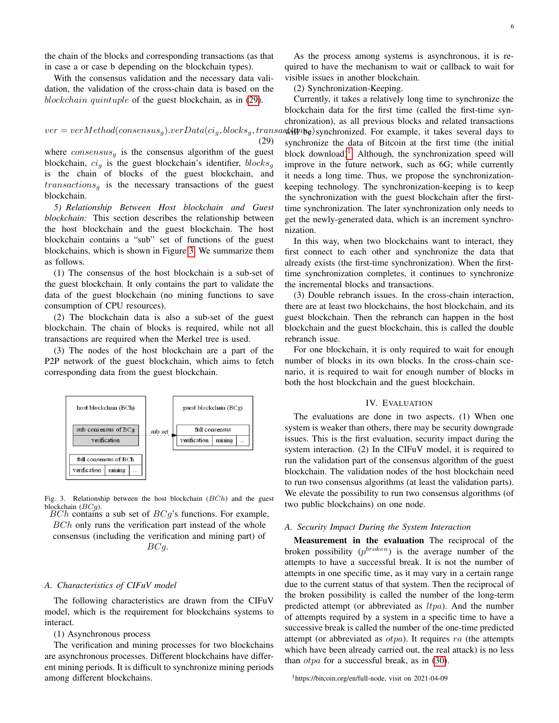the chain of the blocks and corresponding transactions (as that in case a or case b depending on the blockchain types).

With the consensus validation and the necessary data validation, the validation of the cross-chain data is based on the blockchain quintuple of the guest blockchain, as in [\(29\)](#page-5-0).

# <span id="page-5-0"></span> $ver = verMethod(consensus<sub>g</sub>) .verData(ci<sub>g</sub>, blocks<sub>g</sub>, transa$ st in be synchronized. For example, it takes several days to (29)

where  $consensus_a$  is the consensus algorithm of the guest blockchain,  $ci_a$  is the guest blockchain's identifier, blocks<sub>a</sub> is the chain of blocks of the guest blockchain, and  $transactions<sub>g</sub>$  is the necessary transactions of the guest blockchain.

*5) Relationship Between Host blockchain and Guest blockchain:* This section describes the relationship between the host blockchain and the guest blockchain. The host blockchain contains a "sub" set of functions of the guest blockchains, which is shown in Figure [3.](#page-5-1) We summarize them as follows.

(1) The consensus of the host blockchain is a sub-set of the guest blockchain. It only contains the part to validate the data of the guest blockchain (no mining functions to save consumption of CPU resources).

(2) The blockchain data is also a sub-set of the guest blockchain. The chain of blocks is required, while not all transactions are required when the Merkel tree is used.

(3) The nodes of the host blockchain are a part of the P2P network of the guest blockchain, which aims to fetch corresponding data from the guest blockchain.



<span id="page-5-1"></span>Fig. 3. Relationship between the host blockchain  $(BCh)$  and the guest blockchain  $(BCa)$ .  $BCh$  contains a sub set of  $BCg$ 's functions. For example,

BCh only runs the verification part instead of the whole consensus (including the verification and mining part) of BCg.

#### *A. Characteristics of CIFuV model*

The following characteristics are drawn from the CIFuV model, which is the requirement for blockchains systems to interact.

(1) Asynchronous process

The verification and mining processes for two blockchains are asynchronous processes. Different blockchains have different mining periods. It is difficult to synchronize mining periods among different blockchains.

As the process among systems is asynchronous, it is required to have the mechanism to wait or callback to wait for visible issues in another blockchain.

(2) Synchronization-Keeping.

Currently, it takes a relatively long time to synchronize the blockchain data for the first time (called the first-time synchronization), as all previous blocks and related transactions synchronize the data of Bitcoin at the first time (the initial block download)<sup>[1](#page-5-2)</sup>. Although, the synchronization speed will improve in the future network, such as 6G; while currently it needs a long time. Thus, we propose the synchronizationkeeping technology. The synchronization-keeping is to keep the synchronization with the guest blockchain after the firsttime synchronization. The later synchronization only needs to get the newly-generated data, which is an increment synchronization.

In this way, when two blockchains want to interact, they first connect to each other and synchronize the data that already exists (the first-time synchronization). When the firsttime synchronization completes, it continues to synchronize the incremental blocks and transactions.

(3) Double rebranch issues. In the cross-chain interaction, there are at least two blockchains, the host blockchain, and its guest blockchain. Then the rebranch can happen in the host blockchain and the guest blockchain, this is called the double rebranch issue.

For one blockchain, it is only required to wait for enough number of blocks in its own blocks. In the cross-chain scenario, it is required to wait for enough number of blocks in both the host blockchain and the guest blockchain.

#### IV. EVALUATION

The evaluations are done in two aspects. (1) When one system is weaker than others, there may be security downgrade issues. This is the first evaluation, security impact during the system interaction. (2) In the CIFuV model, it is required to run the validation part of the consensus algorithm of the guest blockchain. The validation nodes of the host blockchain need to run two consensus algorithms (at least the validation parts). We elevate the possibility to run two consensus algorithms (of two public blockchains) on one node.

#### *A. Security Impact During the System Interaction*

Measurement in the evaluation The reciprocal of the broken possibility  $(p^{broken})$  is the average number of the attempts to have a successful break. It is not the number of attempts in one specific time, as it may vary in a certain range due to the current status of that system. Then the reciprocal of the broken possibility is called the number of the long-term predicted attempt (or abbreviated as  $ltpa$ ). And the number of attempts required by a system in a specific time to have a successive break is called the number of the one-time predicted attempt (or abbreviated as  $otpa$ ). It requires ra (the attempts which have been already carried out, the real attack) is no less than otpa for a successful break, as in [\(30\)](#page-7-0).

<span id="page-5-2"></span><sup>1</sup>https://bitcoin.org/en/full-node, visit on 2021-04-09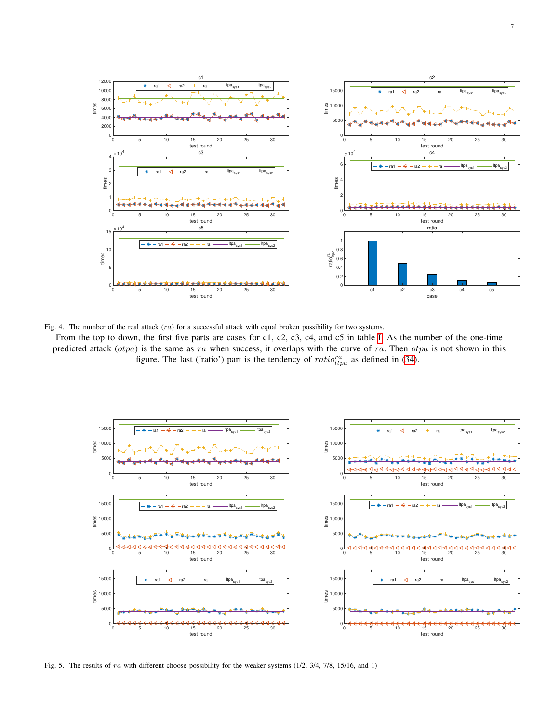

<span id="page-6-0"></span>Fig. 4. The number of the real attack (ra) for a successful attack with equal broken possibility for two systems.

From the top to down, the first five parts are cases for c1, c2, c3, c4, and c5 in table [I.](#page-7-1) As the number of the one-time predicted attack  $(otpa)$  is the same as ra when success, it overlaps with the curve of ra. Then  $otpa$  is not shown in this figure. The last ('ratio') part is the tendency of  $ratio_{ltpa}^{ra}$  as defined in [\(34\)](#page-8-0).



<span id="page-6-1"></span>Fig. 5. The results of ra with different choose possibility for the weaker systems (1/2, 3/4, 7/8, 15/16, and 1)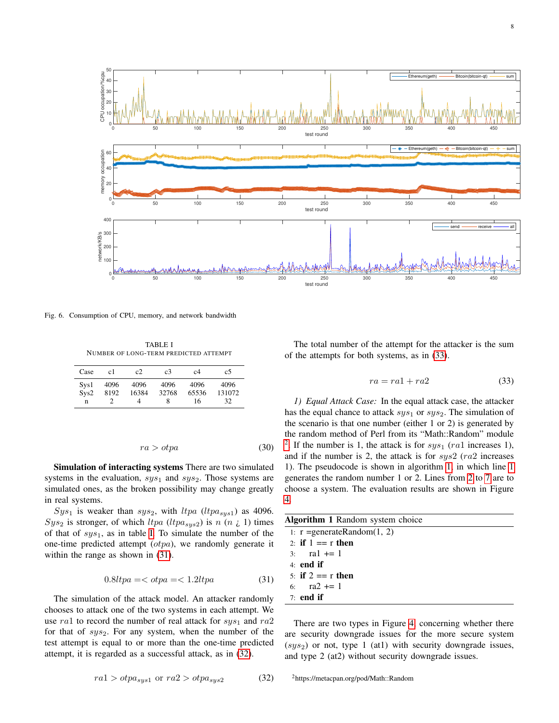

<span id="page-7-10"></span><span id="page-7-1"></span>Fig. 6. Consumption of CPU, memory, and network bandwidth

TABLE I NUMBER OF LONG-TERM PREDICTED ATTEMPT

| Case              | c1           | c2                 | c3                 | c4                  | c5                   |
|-------------------|--------------|--------------------|--------------------|---------------------|----------------------|
| Sys1<br>Svs2<br>n | 4096<br>8192 | 4096<br>16384<br>4 | 4096<br>32768<br>8 | 4096<br>65536<br>16 | 4096<br>131072<br>32 |

<span id="page-7-0"></span>
$$
ra > otpa \tag{30}
$$

Simulation of interacting systems There are two simulated systems in the evaluation,  $sys_1$  and  $sys_2$ . Those systems are simulated ones, as the broken possibility may change greatly in real systems.

 $Sys<sub>1</sub>$  is weaker than  $sys<sub>2</sub>$ , with  $ltpa (ltpa<sub>sys1</sub>)$  as 4096.  $Sys_2$  is stronger, of which  $ltpa (ltpa_{sys2})$  is n  $(n_i, 1)$  times of that of  $sys_1$ , as in table [I.](#page-7-1) To simulate the number of the one-time predicted attempt  $(otpa)$ , we randomly generate it within the range as shown in [\(31\)](#page-7-2).

<span id="page-7-2"></span>
$$
0.8ltpa = <\sigma p a = <1.2ltpa
$$
\n<sup>(31)</sup>

The simulation of the attack model. An attacker randomly chooses to attack one of the two systems in each attempt. We use ra1 to record the number of real attack for  $sys_1$  and ra2 for that of  $sys_2$ . For any system, when the number of the test attempt is equal to or more than the one-time predicted attempt, it is regarded as a successful attack, as in [\(32\)](#page-7-3).

The total number of the attempt for the attacker is the sum of the attempts for both systems, as in [\(33\)](#page-7-4).

<span id="page-7-4"></span>
$$
ra = ra1 + ra2 \tag{33}
$$

*1) Equal Attack Case:* In the equal attack case, the attacker has the equal chance to attack  $sys_1$  or  $sys_2$ . The simulation of the scenario is that one number (either 1 or 2) is generated by the random method of Perl from its "Math::Random" module <sup>[2](#page-7-5)</sup>. If the number is 1, the attack is for  $sys_1$  (ra1 increases 1), and if the number is 2, the attack is for  $sys2$  ( $ra2$  increases 1). The pseudocode is shown in algorithm [1,](#page-7-6) in which line [1](#page-7-7) generates the random number 1 or 2. Lines from [2](#page-7-8) to [7](#page-7-9) are to choose a system. The evaluation results are shown in Figure [4.](#page-6-0)

<span id="page-7-8"></span><span id="page-7-7"></span><span id="page-7-6"></span>

| Algorithm 1 Random system choice |  |  |  |  |
|----------------------------------|--|--|--|--|
| 1: $r =$ generateRandom(1, 2)    |  |  |  |  |
| 2: if $1 == r$ then              |  |  |  |  |
| 3: $\text{ral} += 1$             |  |  |  |  |
| $4$ end if                       |  |  |  |  |
| 5: if $2 == r$ then              |  |  |  |  |
| 6: $ra2 += 1$                    |  |  |  |  |
| $7:$ end if                      |  |  |  |  |
|                                  |  |  |  |  |

<span id="page-7-9"></span><span id="page-7-5"></span>There are two types in Figure [4,](#page-6-0) concerning whether there are security downgrade issues for the more secure system  $(sys_2)$  or not, type 1 (at1) with security downgrade issues, and type 2 (at2) without security downgrade issues.

<span id="page-7-3"></span> $ra1 > otpa<sub>sys1</sub>$  or  $ra2 > otpa<sub>sys2</sub>$  (32)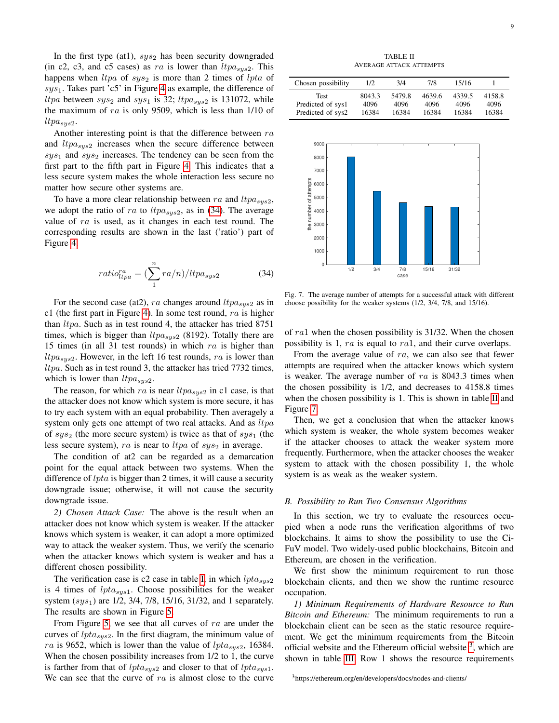In the first type (at1),  $sys_2$  has been security downgraded (in c2, c3, and c5 cases) as ra is lower than  $ltpa_{sus2}$ . This happens when  $ltpa$  of  $sys_2$  is more than 2 times of  $lpta$  of  $sys<sub>1</sub>$ . Takes part 'c5' in Figure [4](#page-6-0) as example, the difference of *ltpa* between  $sys_2$  and  $sys_1$  is 32; *ltpa<sub>sys2</sub>* is 131072, while the maximum of  $ra$  is only 9509, which is less than 1/10 of  $ltpa_{sys2}$ .

Another interesting point is that the difference between  $ra$ and  $ltpa<sub>sys2</sub>$  increases when the secure difference between  $sys<sub>1</sub>$  and  $sys<sub>2</sub>$  increases. The tendency can be seen from the first part to the fifth part in Figure [4.](#page-6-0) This indicates that a less secure system makes the whole interaction less secure no matter how secure other systems are.

To have a more clear relationship between ra and  $ltpa<sub>sys2</sub>$ , we adopt the ratio of ra to  $ltpa_{sys2}$ , as in [\(34\)](#page-8-0). The average value of ra is used, as it changes in each test round. The corresponding results are shown in the last ('ratio') part of Figure [4.](#page-6-0)

<span id="page-8-0"></span>
$$
ratio_{ltpa}^{ra} = \left(\sum_{1}^{n} ra/n\right) / ltpa_{sys2} \tag{34}
$$

For the second case (at 2), ra changes around  $ltpa_{sys2}$  as in c1 (the first part in Figure [4\)](#page-6-0). In some test round,  $ra$  is higher than  $ltpa$ . Such as in test round 4, the attacker has tried 8751 times, which is bigger than  $ltpa_{sys2}$  (8192). Totally there are 15 times (in all 31 test rounds) in which  $ra$  is higher than  $ltpa<sub>sus2</sub>$ . However, in the left 16 test rounds, ra is lower than ltpa. Such as in test round 3, the attacker has tried 7732 times, which is lower than  $ltpa_{sys2}$ .

The reason, for which ra is near  $ltpa_{sys2}$  in c1 case, is that the attacker does not know which system is more secure, it has to try each system with an equal probability. Then averagely a system only gets one attempt of two real attacks. And as  $ltpa$ of  $sys_2$  (the more secure system) is twice as that of  $sys_1$  (the less secure system), ra is near to  $ltpa$  of  $sys_2$  in average.

The condition of at2 can be regarded as a demarcation point for the equal attack between two systems. When the difference of *lpta* is bigger than 2 times, it will cause a security downgrade issue; otherwise, it will not cause the security downgrade issue.

*2) Chosen Attack Case:* The above is the result when an attacker does not know which system is weaker. If the attacker knows which system is weaker, it can adopt a more optimized way to attack the weaker system. Thus, we verify the scenario when the attacker knows which system is weaker and has a different chosen possibility.

The verification case is c2 case in table [I,](#page-7-1) in which  $lpta_{sys2}$ is 4 times of  $lpta<sub>sys1</sub>$ . Choose possibilities for the weaker system  $(sys_1)$  are 1/2, 3/4, 7/8, 15/16, 31/32, and 1 separately. The results are shown in Figure [5.](#page-6-1)

From Figure [5,](#page-6-1) we see that all curves of ra are under the curves of  $lpta<sub>sys2</sub>$ . In the first diagram, the minimum value of ra is 9652, which is lower than the value of  $lpta<sub>sus2</sub>$ , 16384. When the chosen possibility increases from  $1/2$  to 1, the curve is farther from that of  $lpta<sub>sys2</sub>$  and closer to that of  $lpta<sub>sys1</sub>$ . We can see that the curve of  $ra$  is almost close to the curve

TABLE II AVERAGE ATTACK ATTEMPTS

<span id="page-8-1"></span>

| Chosen possibility | 1/2    | 3/4    | 7/8    | 15/16  |        |
|--------------------|--------|--------|--------|--------|--------|
| <b>Test</b>        | 8043.3 | 5479.8 | 4639.6 | 4339.5 | 4158.8 |
| Predicted of sys1  | 4096   | 4096   | 4096   | 4096   | 4096   |
| Predicted of sys2  | 16384  | 16384  | 16384  | 16384  | 16384  |



<span id="page-8-2"></span>Fig. 7. The average number of attempts for a successful attack with different choose possibility for the weaker systems (1/2, 3/4, 7/8, and 15/16).

of ra1 when the chosen possibility is 31/32. When the chosen possibility is 1, ra is equal to ra1, and their curve overlaps.

From the average value of ra, we can also see that fewer attempts are required when the attacker knows which system is weaker. The average number of  $ra$  is 8043.3 times when the chosen possibility is 1/2, and decreases to 4158.8 times when the chosen possibility is 1. This is shown in table [II](#page-8-1) and Figure [7.](#page-8-2)

Then, we get a conclusion that when the attacker knows which system is weaker, the whole system becomes weaker if the attacker chooses to attack the weaker system more frequently. Furthermore, when the attacker chooses the weaker system to attack with the chosen possibility 1, the whole system is as weak as the weaker system.

#### *B. Possibility to Run Two Consensus Algorithms*

In this section, we try to evaluate the resources occupied when a node runs the verification algorithms of two blockchains. It aims to show the possibility to use the Ci-FuV model. Two widely-used public blockchains, Bitcoin and Ethereum, are chosen in the verification.

We first show the minimum requirement to run those blockchain clients, and then we show the runtime resource occupation.

*1) Minimum Requirements of Hardware Resource to Run Bitcoin and Ethereum:* The minimum requirements to run a blockchain client can be seen as the static resource requirement. We get the minimum requirements from the Bitcoin official website and the Ethereum official website  $3$ , which are shown in table [III.](#page-10-14) Row 1 shows the resource requirements

<span id="page-8-3"></span><sup>3</sup>https://ethereum.org/en/developers/docs/nodes-and-clients/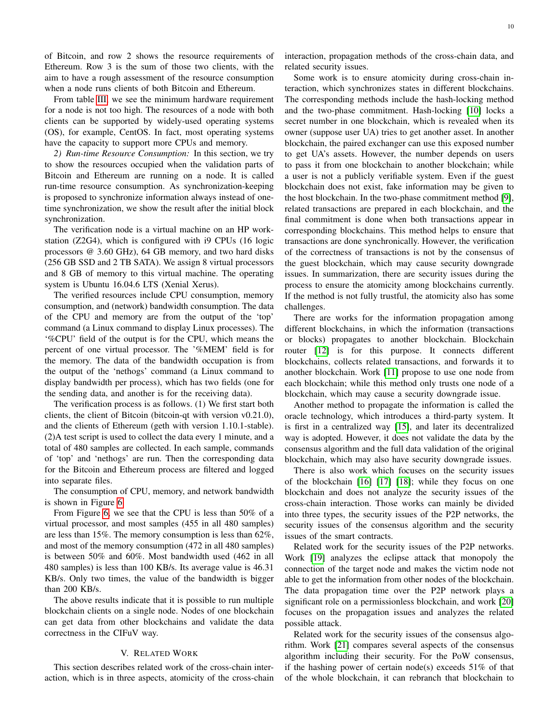of Bitcoin, and row 2 shows the resource requirements of Ethereum. Row 3 is the sum of those two clients, with the aim to have a rough assessment of the resource consumption when a node runs clients of both Bitcoin and Ethereum.

From table [III,](#page-10-14) we see the minimum hardware requirement for a node is not too high. The resources of a node with both clients can be supported by widely-used operating systems (OS), for example, CentOS. In fact, most operating systems have the capacity to support more CPUs and memory.

*2) Run-time Resource Consumption:* In this section, we try to show the resources occupied when the validation parts of Bitcoin and Ethereum are running on a node. It is called run-time resource consumption. As synchronization-keeping is proposed to synchronize information always instead of onetime synchronization, we show the result after the initial block synchronization.

The verification node is a virtual machine on an HP workstation (Z2G4), which is configured with i9 CPUs (16 logic processors @ 3.60 GHz), 64 GB memory, and two hard disks (256 GB SSD and 2 TB SATA). We assign 8 virtual processors and 8 GB of memory to this virtual machine. The operating system is Ubuntu 16.04.6 LTS (Xenial Xerus).

The verified resources include CPU consumption, memory consumption, and (network) bandwidth consumption. The data of the CPU and memory are from the output of the 'top' command (a Linux command to display Linux processes). The '%CPU' field of the output is for the CPU, which means the percent of one virtual processor. The '%MEM' field is for the memory. The data of the bandwidth occupation is from the output of the 'nethogs' command (a Linux command to display bandwidth per process), which has two fields (one for the sending data, and another is for the receiving data).

The verification process is as follows. (1) We first start both clients, the client of Bitcoin (bitcoin-qt with version v0.21.0), and the clients of Ethereum (geth with version 1.10.1-stable). (2)A test script is used to collect the data every 1 minute, and a total of 480 samples are collected. In each sample, commands of 'top' and 'nethogs' are run. Then the corresponding data for the Bitcoin and Ethereum process are filtered and logged into separate files.

The consumption of CPU, memory, and network bandwidth is shown in Figure [6.](#page-7-10)

From Figure [6,](#page-7-10) we see that the CPU is less than 50% of a virtual processor, and most samples (455 in all 480 samples) are less than 15%. The memory consumption is less than 62%, and most of the memory consumption (472 in all 480 samples) is between 50% and 60%. Most bandwidth used (462 in all 480 samples) is less than 100 KB/s. Its average value is 46.31 KB/s. Only two times, the value of the bandwidth is bigger than 200 KB/s.

The above results indicate that it is possible to run multiple blockchain clients on a single node. Nodes of one blockchain can get data from other blockchains and validate the data correctness in the CIFuV way.

## V. RELATED WORK

This section describes related work of the cross-chain interaction, which is in three aspects, atomicity of the cross-chain

interaction, propagation methods of the cross-chain data, and related security issues.

Some work is to ensure atomicity during cross-chain interaction, which synchronizes states in different blockchains. The corresponding methods include the hash-locking method and the two-phase commitment. Hash-locking [\[10\]](#page-10-9) locks a secret number in one blockchain, which is revealed when its owner (suppose user UA) tries to get another asset. In another blockchain, the paired exchanger can use this exposed number to get UA's assets. However, the number depends on users to pass it from one blockchain to another blockchain; while a user is not a publicly verifiable system. Even if the guest blockchain does not exist, fake information may be given to the host blockchain. In the two-phase commitment method [\[9\]](#page-10-8), related transactions are prepared in each blockchain, and the final commitment is done when both transactions appear in corresponding blockchains. This method helps to ensure that transactions are done synchronically. However, the verification of the correctness of transactions is not by the consensus of the guest blockchain, which may cause security downgrade issues. In summarization, there are security issues during the process to ensure the atomicity among blockchains currently. If the method is not fully trustful, the atomicity also has some challenges.

There are works for the information propagation among different blockchains, in which the information (transactions or blocks) propagates to another blockchain. Blockchain router [\[12\]](#page-10-11) is for this purpose. It connects different blockchains, collects related transactions, and forwards it to another blockchain. Work [\[11\]](#page-10-10) propose to use one node from each blockchain; while this method only trusts one node of a blockchain, which may cause a security downgrade issue.

Another method to propagate the information is called the oracle technology, which introduces a third-party system. It is first in a centralized way [\[15\]](#page-10-15), and later its decentralized way is adopted. However, it does not validate the data by the consensus algorithm and the full data validation of the original blockchain, which may also have security downgrade issues.

There is also work which focuses on the security issues of the blockchain [\[16\]](#page-10-16) [\[17\]](#page-10-17) [\[18\]](#page-10-18); while they focus on one blockchain and does not analyze the security issues of the cross-chain interaction. Those works can mainly be divided into three types, the security issues of the P2P networks, the security issues of the consensus algorithm and the security issues of the smart contracts.

Related work for the security issues of the P2P networks. Work [\[19\]](#page-10-19) analyzes the eclipse attack that monopoly the connection of the target node and makes the victim node not able to get the information from other nodes of the blockchain. The data propagation time over the P2P network plays a significant role on a permissionless blockchain, and work [\[20\]](#page-11-0) focuses on the propagation issues and analyzes the related possible attack.

Related work for the security issues of the consensus algorithm. Work [\[21\]](#page-11-1) compares several aspects of the consensus algorithm including their security. For the PoW consensus, if the hashing power of certain node(s) exceeds  $51\%$  of that of the whole blockchain, it can rebranch that blockchain to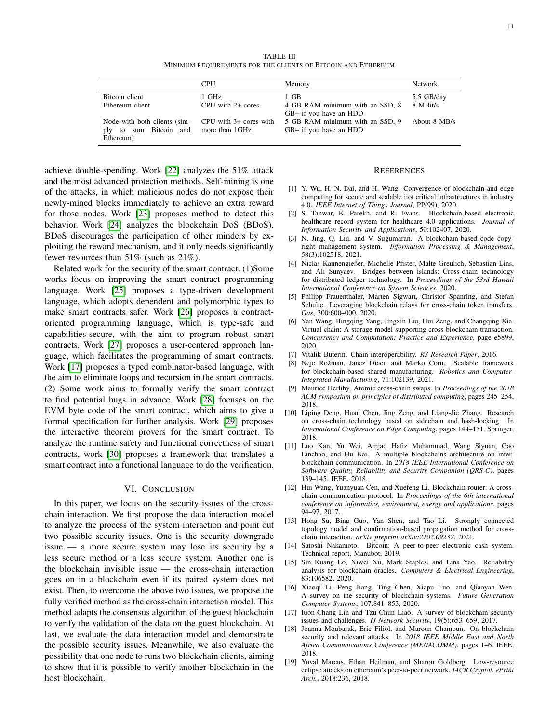TABLE III MINIMUM REQUIREMENTS FOR THE CLIENTS OF BITCOIN AND ETHEREUM

<span id="page-10-14"></span>

|                                                                     | CPU                                      | Memory                                                                              | <b>Network</b> |
|---------------------------------------------------------------------|------------------------------------------|-------------------------------------------------------------------------------------|----------------|
| Bitcoin client                                                      | 1 GHz                                    | 1 GB                                                                                | 5.5 GB/day     |
| Ethereum client                                                     | $CPIJ$ with $2+$ cores                   | 4 GB RAM minimum with an SSD, 8                                                     | 8 MBit/s       |
| Node with both clients (sim-<br>ply to sum Bitcoin and<br>Ethereum) | CPU with 3+ cores with<br>more than 1GHz | GB+ if you have an HDD<br>5 GB RAM minimum with an SSD, 9<br>GB+ if you have an HDD | About 8 MB/s   |

achieve double-spending. Work [\[22\]](#page-11-2) analyzes the 51% attack and the most advanced protection methods. Self-mining is one of the attacks, in which malicious nodes do not expose their newly-mined blocks immediately to achieve an extra reward for those nodes. Work [\[23\]](#page-11-3) proposes method to detect this behavior. Work [\[24\]](#page-11-4) analyzes the blockchain DoS (BDoS). BDoS discourages the participation of other minders by exploiting the reward mechanism, and it only needs significantly fewer resources than 51% (such as 21%).

Related work for the security of the smart contract. (1)Some works focus on improving the smart contract programming language. Work [\[25\]](#page-11-5) proposes a type-driven development language, which adopts dependent and polymorphic types to make smart contracts safer. Work [\[26\]](#page-11-6) proposes a contractoriented programming language, which is type-safe and capabilities-secure, with the aim to program robust smart contracts. Work [\[27\]](#page-11-7) proposes a user-centered approach language, which facilitates the programming of smart contracts. Work [\[17\]](#page-10-17) proposes a typed combinator-based language, with the aim to eliminate loops and recursion in the smart contracts. (2) Some work aims to formally verify the smart contract to find potential bugs in advance. Work [\[28\]](#page-11-8) focuses on the EVM byte code of the smart contract, which aims to give a formal specification for further analysis. Work [\[29\]](#page-11-9) proposes the interactive theorem provers for the smart contract. To analyze the runtime safety and functional correctness of smart contracts, work [\[30\]](#page-11-10) proposes a framework that translates a smart contract into a functional language to do the verification.

#### VI. CONCLUSION

In this paper, we focus on the security issues of the crosschain interaction. We first propose the data interaction model to analyze the process of the system interaction and point out two possible security issues. One is the security downgrade issue — a more secure system may lose its security by a less secure method or a less secure system. Another one is the blockchain invisible issue — the cross-chain interaction goes on in a blockchain even if its paired system does not exist. Then, to overcome the above two issues, we propose the fully verified method as the cross-chain interaction model. This method adapts the consensus algorithm of the guest blockchain to verify the validation of the data on the guest blockchain. At last, we evaluate the data interaction model and demonstrate the possible security issues. Meanwhile, we also evaluate the possibility that one node to runs two blockchain clients, aiming to show that it is possible to verify another blockchain in the host blockchain.

#### **REFERENCES**

- <span id="page-10-0"></span>[1] Y. Wu, H. N. Dai, and H. Wang. Convergence of blockchain and edge computing for secure and scalable iiot critical infrastructures in industry 4.0. *IEEE Internet of Things Journal*, PP(99), 2020.
- <span id="page-10-1"></span>[2] S. Tanwar, K. Parekh, and R. Evans. Blockchain-based electronic healthcare record system for healthcare 4.0 applications. *Journal of Information Security and Applications*, 50:102407, 2020.
- <span id="page-10-2"></span>[3] N. Jing, Q. Liu, and V. Sugumaran. A blockchain-based code copyright management system. *Information Processing & Management*, 58(3):102518, 2021.
- <span id="page-10-3"></span>[4] Niclas Kannengießer, Michelle Pfister, Malte Greulich, Sebastian Lins, and Ali Sunyaev. Bridges between islands: Cross-chain technology for distributed ledger technology. In *Proceedings of the 53rd Hawaii International Conference on System Sciences*, 2020.
- <span id="page-10-4"></span>[5] Philipp Frauenthaler, Marten Sigwart, Christof Spanring, and Stefan Schulte. Leveraging blockchain relays for cross-chain token transfers. *Gas*, 300:600–000, 2020.
- <span id="page-10-5"></span>[6] Yan Wang, Bingqing Yang, Jingxin Liu, Hui Zeng, and Changqing Xia. Virtual chain: A storage model supporting cross-blockchain transaction. *Concurrency and Computation: Practice and Experience*, page e5899, 2020.
- <span id="page-10-6"></span>[7] Vitalik Buterin. Chain interoperability. *R3 Research Paper*, 2016.
- <span id="page-10-7"></span>[8] Nejc Rožman, Janez Diaci, and Marko Corn. Scalable framework for blockchain-based shared manufacturing. *Robotics and Computer-Integrated Manufacturing*, 71:102139, 2021.
- <span id="page-10-8"></span>[9] Maurice Herlihy. Atomic cross-chain swaps. In *Proceedings of the 2018 ACM symposium on principles of distributed computing*, pages 245–254, 2018.
- <span id="page-10-9"></span>[10] Liping Deng, Huan Chen, Jing Zeng, and Liang-Jie Zhang. Research on cross-chain technology based on sidechain and hash-locking. In *International Conference on Edge Computing*, pages 144–151. Springer, 2018.
- <span id="page-10-10"></span>[11] Luo Kan, Yu Wei, Amjad Hafiz Muhammad, Wang Siyuan, Gao Linchao, and Hu Kai. A multiple blockchains architecture on interblockchain communication. In *2018 IEEE International Conference on Software Quality, Reliability and Security Companion (QRS-C)*, pages 139–145. IEEE, 2018.
- <span id="page-10-11"></span>[12] Hui Wang, Yuanyuan Cen, and Xuefeng Li. Blockchain router: A crosschain communication protocol. In *Proceedings of the 6th international conference on informatics, environment, energy and applications*, pages 94–97, 2017.
- <span id="page-10-12"></span>[13] Hong Su, Bing Guo, Yan Shen, and Tao Li. Strongly connected topology model and confirmation-based propagation method for crosschain interaction. *arXiv preprint arXiv:2102.09237*, 2021.
- <span id="page-10-13"></span>[14] Satoshi Nakamoto. Bitcoin: A peer-to-peer electronic cash system. Technical report, Manubot, 2019.
- <span id="page-10-15"></span>[15] Sin Kuang Lo, Xiwei Xu, Mark Staples, and Lina Yao. Reliability analysis for blockchain oracles. *Computers & Electrical Engineering*, 83:106582, 2020.
- <span id="page-10-16"></span>[16] Xiaoqi Li, Peng Jiang, Ting Chen, Xiapu Luo, and Qiaoyan Wen. A survey on the security of blockchain systems. *Future Generation Computer Systems*, 107:841–853, 2020.
- <span id="page-10-17"></span>[17] Iuon-Chang Lin and Tzu-Chun Liao. A survey of blockchain security issues and challenges. *IJ Network Security*, 19(5):653–659, 2017.
- <span id="page-10-18"></span>[18] Joanna Moubarak, Eric Filiol, and Maroun Chamoun. On blockchain security and relevant attacks. In *2018 IEEE Middle East and North Africa Communications Conference (MENACOMM)*, pages 1–6. IEEE, 2018.
- <span id="page-10-19"></span>[19] Yuval Marcus, Ethan Heilman, and Sharon Goldberg. Low-resource eclipse attacks on ethereum's peer-to-peer network. *IACR Cryptol. ePrint Arch.*, 2018:236, 2018.